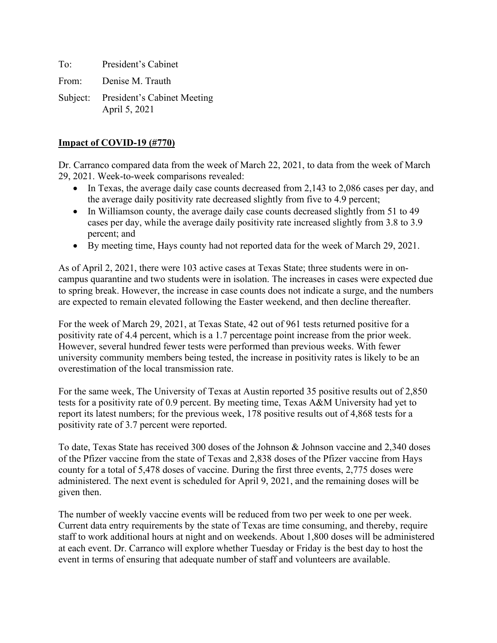To: President's Cabinet

From: Denise M. Trauth

Subject: President's Cabinet Meeting April 5, 2021

# **Impact of COVID-19 (#770)**

Dr. Carranco compared data from the week of March 22, 2021, to data from the week of March 29, 2021. Week-to-week comparisons revealed:

- In Texas, the average daily case counts decreased from 2,143 to 2,086 cases per day, and the average daily positivity rate decreased slightly from five to 4.9 percent;
- In Williamson county, the average daily case counts decreased slightly from 51 to 49 cases per day, while the average daily positivity rate increased slightly from 3.8 to 3.9 percent; and
- By meeting time, Hays county had not reported data for the week of March 29, 2021.

As of April 2, 2021, there were 103 active cases at Texas State; three students were in oncampus quarantine and two students were in isolation. The increases in cases were expected due to spring break. However, the increase in case counts does not indicate a surge, and the numbers are expected to remain elevated following the Easter weekend, and then decline thereafter.

For the week of March 29, 2021, at Texas State, 42 out of 961 tests returned positive for a positivity rate of 4.4 percent, which is a 1.7 percentage point increase from the prior week. However, several hundred fewer tests were performed than previous weeks. With fewer university community members being tested, the increase in positivity rates is likely to be an overestimation of the local transmission rate.

For the same week, The University of Texas at Austin reported 35 positive results out of 2,850 tests for a positivity rate of 0.9 percent. By meeting time, Texas A&M University had yet to report its latest numbers; for the previous week, 178 positive results out of 4,868 tests for a positivity rate of 3.7 percent were reported.

To date, Texas State has received 300 doses of the Johnson & Johnson vaccine and 2,340 doses of the Pfizer vaccine from the state of Texas and 2,838 doses of the Pfizer vaccine from Hays county for a total of 5,478 doses of vaccine. During the first three events, 2,775 doses were administered. The next event is scheduled for April 9, 2021, and the remaining doses will be given then.

The number of weekly vaccine events will be reduced from two per week to one per week. Current data entry requirements by the state of Texas are time consuming, and thereby, require staff to work additional hours at night and on weekends. About 1,800 doses will be administered at each event. Dr. Carranco will explore whether Tuesday or Friday is the best day to host the event in terms of ensuring that adequate number of staff and volunteers are available.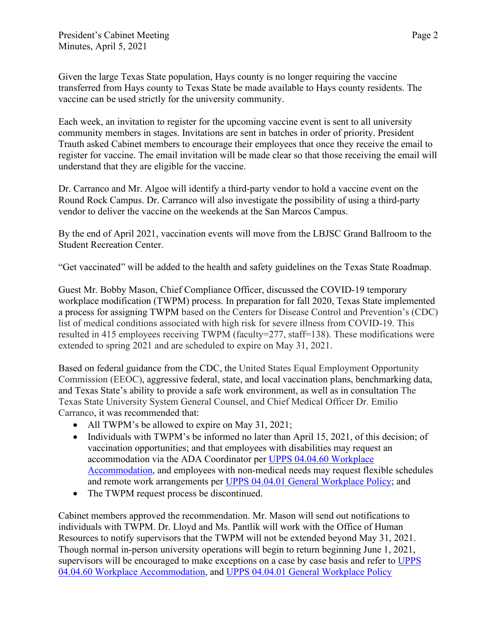Given the large Texas State population, Hays county is no longer requiring the vaccine transferred from Hays county to Texas State be made available to Hays county residents. The vaccine can be used strictly for the university community.

Each week, an invitation to register for the upcoming vaccine event is sent to all university community members in stages. Invitations are sent in batches in order of priority. President Trauth asked Cabinet members to encourage their employees that once they receive the email to register for vaccine. The email invitation will be made clear so that those receiving the email will understand that they are eligible for the vaccine.

Dr. Carranco and Mr. Algoe will identify a third-party vendor to hold a vaccine event on the Round Rock Campus. Dr. Carranco will also investigate the possibility of using a third-party vendor to deliver the vaccine on the weekends at the San Marcos Campus.

By the end of April 2021, vaccination events will move from the LBJSC Grand Ballroom to the Student Recreation Center.

"Get vaccinated" will be added to the health and safety guidelines on the Texas State Roadmap.

Guest Mr. Bobby Mason, Chief Compliance Officer, discussed the COVID-19 temporary workplace modification (TWPM) process. In preparation for fall 2020, Texas State implemented a process for assigning TWPM based on the Centers for Disease Control and Prevention's (CDC) list of medical conditions associated with high risk for severe illness from COVID-19. This resulted in 415 employees receiving TWPM (faculty=277, staff=138). These modifications were extended to spring 2021 and are scheduled to expire on May 31, 2021.

Based on federal guidance from the CDC, the United States Equal Employment Opportunity Commission (EEOC), aggressive federal, state, and local vaccination plans, benchmarking data, and Texas State's ability to provide a safe work environment, as well as in consultation The Texas State University System General Counsel, and Chief Medical Officer Dr. Emilio Carranco, it was recommended that:

- All TWPM's be allowed to expire on May 31, 2021;
- Individuals with TWPM's be informed no later than April 15, 2021, of this decision; of vaccination opportunities; and that employees with disabilities may request an accommodation via the ADA Coordinator per [UPPS 04.04.60 Workplace](https://policies.txstate.edu/university-policies/04-04-60.html)  [Accommodation,](https://policies.txstate.edu/university-policies/04-04-60.html) and employees with non-medical needs may request flexible schedules and remote work arrangements per [UPPS 04.04.01 General Workplace Policy;](https://policies.txstate.edu/university-policies/04-04-01.html) and
- The TWPM request process be discontinued.

Cabinet members approved the recommendation. Mr. Mason will send out notifications to individuals with TWPM. Dr. Lloyd and Ms. Pantlik will work with the Office of Human Resources to notify supervisors that the TWPM will not be extended beyond May 31, 2021. Though normal in-person university operations will begin to return beginning June 1, 2021, supervisors will be encouraged to make exceptions on a case by case basis and refer to [UPPS](https://policies.txstate.edu/university-policies/04-04-60.html)  [04.04.60 Workplace Accommodation,](https://policies.txstate.edu/university-policies/04-04-60.html) and [UPPS 04.04.01 General Workplace Policy](https://policies.txstate.edu/university-policies/04-04-01.html)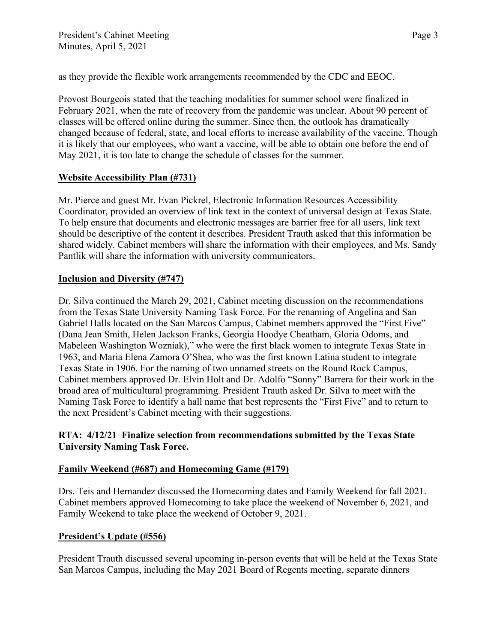as they provide the flexible work arrangements recommended by the CDC and EEOC.

Provost Bourgeois stated that the teaching modalities for summer school were finalized in February 2021, when the rate of recovery from the pandemic was unclear. About 90 percent of classes will be offered online during the summer. Since then, the outlook has dramatically changed because of federal, state, and local efforts to increase availability of the vaccine. Though it is likely that our employees, who want a vaccine, will be able to obtain one before the end of May 2021, it is too late to change the schedule of classes for the summer.

## **Website Accessibility Plan (#731)**

Mr. Pierce and guest Mr. Evan Pickrel, Electronic Information Resources Accessibility Coordinator, provided an overview of link text in the context of universal design at Texas State. To help ensure that documents and electronic messages are barrier free for all users, link text should be descriptive of the content it describes. President Trauth asked that this information be shared widely. Cabinet members will share the information with their employees, and Ms. Sandy Pantlik will share the information with university communicators.

## **Inclusion and Diversity (#747)**

Dr. Silva continued the March 29, 2021, Cabinet meeting discussion on the recommendations from the Texas State University Naming Task Force. For the renaming of Angelina and San Gabriel Halls located on the San Marcos Campus, Cabinet members approved the "First Five" (Dana Jean Smith, Helen Jackson Franks, Georgia Hoodye Cheatham, Gloria Odoms, and Mabeleen Washington Wozniak)," who were the first black women to integrate Texas State in 1963, and Maria Elena Zamora O'Shea, who was the first known Latina student to integrate Texas State in 1906. For the naming of two unnamed streets on the Round Rock Campus, Cabinet members approved Dr. Elvin Holt and Dr. Adolfo "Sonny" Barrera for their work in the broad area of multicultural programming. President Trauth asked Dr. Silva to meet with the Naming Task Force to identify a hall name that best represents the "First Five" and to return to the next President's Cabinet meeting with their suggestions.

# **RTA: 4/12/21 Finalize selection from recommendations submitted by the Texas State University Naming Task Force.**

# **Family Weekend (#687) and Homecoming Game (#179)**

Drs. Teis and Hernandez discussed the Homecoming dates and Family Weekend for fall 2021. Cabinet members approved Homecoming to take place the weekend of November 6, 2021, and Family Weekend to take place the weekend of October 9, 2021.

# **President's Update (#556)**

President Trauth discussed several upcoming in-person events that will be held at the Texas State San Marcos Campus, including the May 2021 Board of Regents meeting, separate dinners